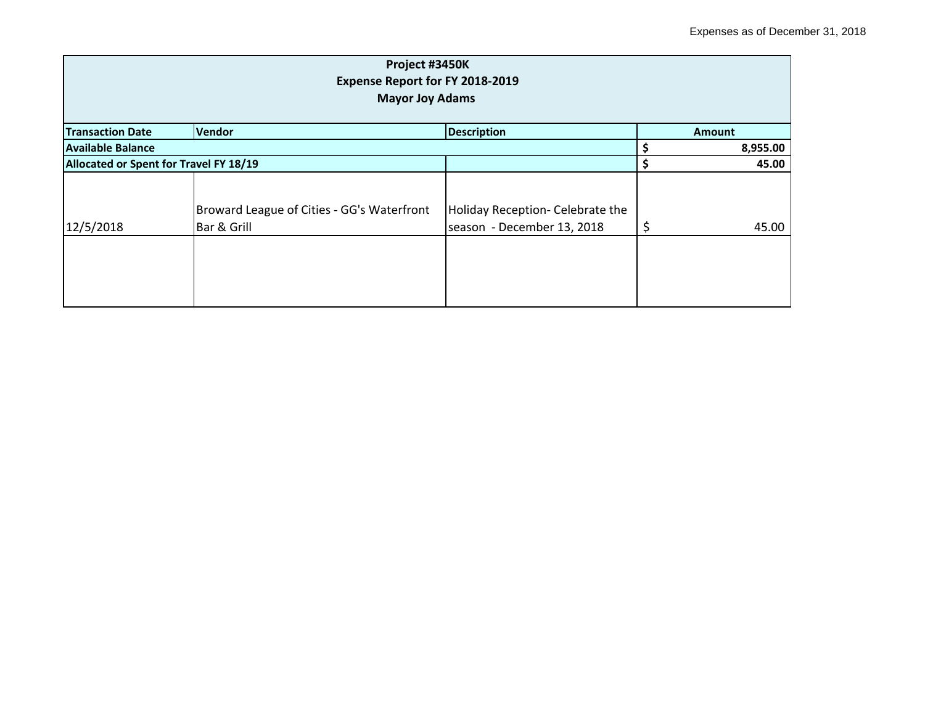| Project #3450K<br>Expense Report for FY 2018-2019<br><b>Mayor Joy Adams</b> |                                                           |                                                                |    |          |  |
|-----------------------------------------------------------------------------|-----------------------------------------------------------|----------------------------------------------------------------|----|----------|--|
| <b>Transaction Date</b>                                                     | <b>Vendor</b>                                             | <b>Description</b>                                             |    | Amount   |  |
| Available Balance                                                           |                                                           |                                                                |    | 8,955.00 |  |
| Allocated or Spent for Travel FY 18/19                                      |                                                           |                                                                | Ś  | 45.00    |  |
| 12/5/2018                                                                   | Broward League of Cities - GG's Waterfront<br>Bar & Grill | Holiday Reception- Celebrate the<br>season - December 13, 2018 | \$ | 45.00    |  |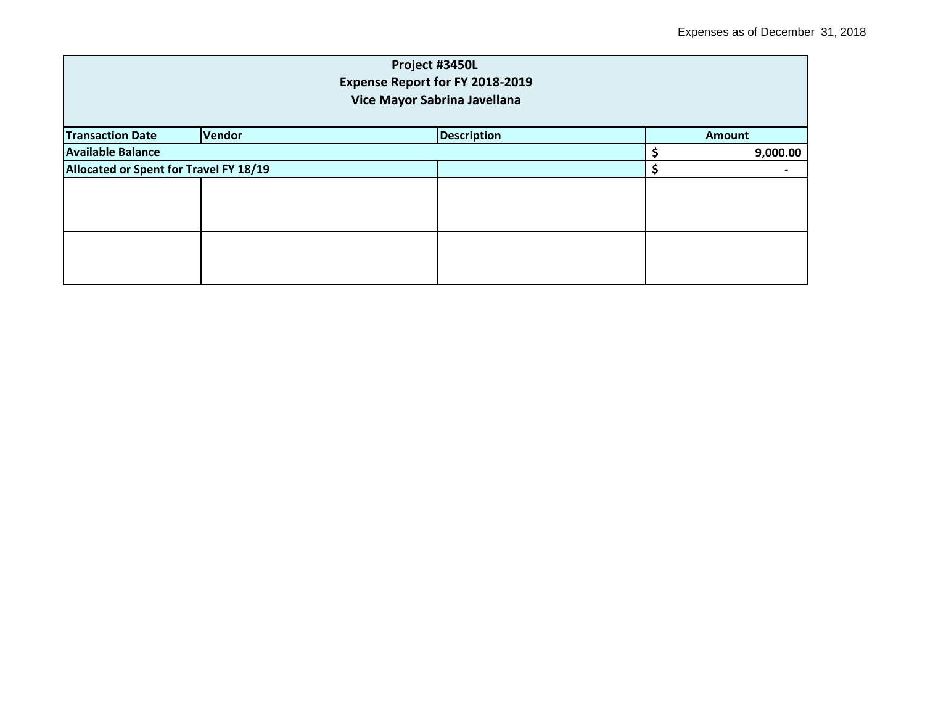| Project #3450L<br>Expense Report for FY 2018-2019<br>Vice Mayor Sabrina Javellana |        |                    |  |               |  |  |
|-----------------------------------------------------------------------------------|--------|--------------------|--|---------------|--|--|
| <b>Transaction Date</b>                                                           | Vendor | <b>Description</b> |  | <b>Amount</b> |  |  |
| <b>Available Balance</b>                                                          |        |                    |  | 9,000.00      |  |  |
| Allocated or Spent for Travel FY 18/19                                            |        |                    |  |               |  |  |
|                                                                                   |        |                    |  |               |  |  |
|                                                                                   |        |                    |  |               |  |  |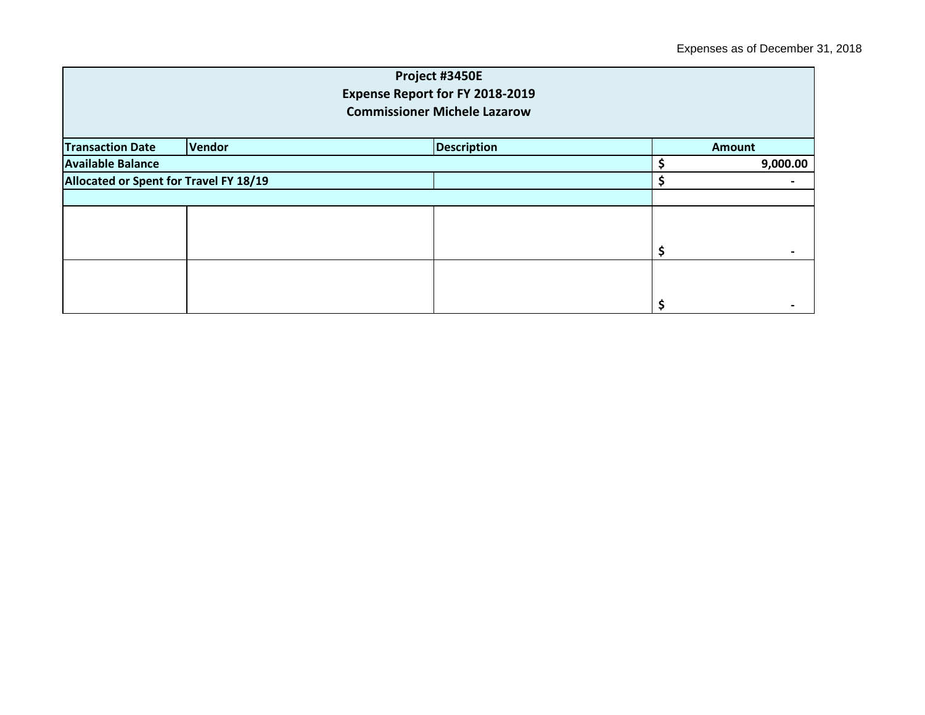|                                        |                              | Project #3450E                      |  |               |  |
|----------------------------------------|------------------------------|-------------------------------------|--|---------------|--|
|                                        |                              | Expense Report for FY 2018-2019     |  |               |  |
|                                        |                              | <b>Commissioner Michele Lazarow</b> |  |               |  |
|                                        |                              |                                     |  |               |  |
| <b>Transaction Date</b>                | Vendor<br><b>Description</b> |                                     |  | <b>Amount</b> |  |
| <b>Available Balance</b>               |                              |                                     |  | 9,000.00      |  |
| Allocated or Spent for Travel FY 18/19 |                              |                                     |  |               |  |
|                                        |                              |                                     |  |               |  |
|                                        |                              |                                     |  |               |  |
|                                        |                              |                                     |  |               |  |
|                                        |                              |                                     |  |               |  |
|                                        |                              |                                     |  |               |  |
|                                        |                              |                                     |  |               |  |
|                                        |                              |                                     |  |               |  |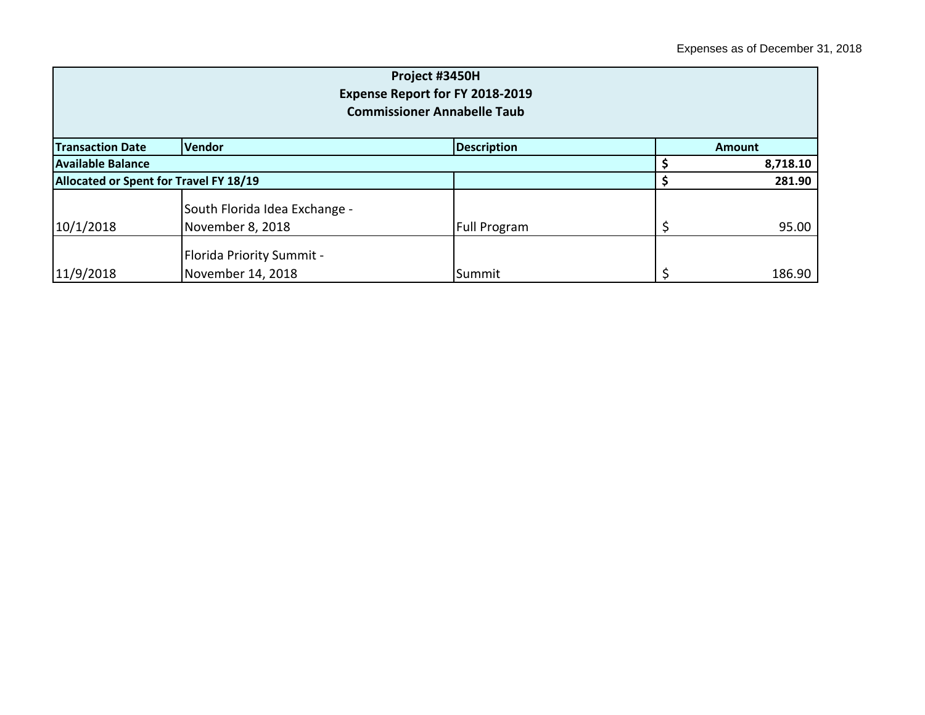| Project #3450H<br>Expense Report for FY 2018-2019<br><b>Commissioner Annabelle Taub</b> |                                                       |                     |  |          |  |
|-----------------------------------------------------------------------------------------|-------------------------------------------------------|---------------------|--|----------|--|
| <b>Transaction Date</b>                                                                 | <b>Vendor</b><br><b>Description</b><br>Amount         |                     |  |          |  |
| <b>Available Balance</b>                                                                |                                                       |                     |  | 8,718.10 |  |
| Allocated or Spent for Travel FY 18/19                                                  |                                                       |                     |  | 281.90   |  |
| 10/1/2018                                                                               | South Florida Idea Exchange -<br>November 8, 2018     | <b>Full Program</b> |  | 95.00    |  |
| 11/9/2018                                                                               | <b>Florida Priority Summit -</b><br>November 14, 2018 | Summit              |  | 186.90   |  |